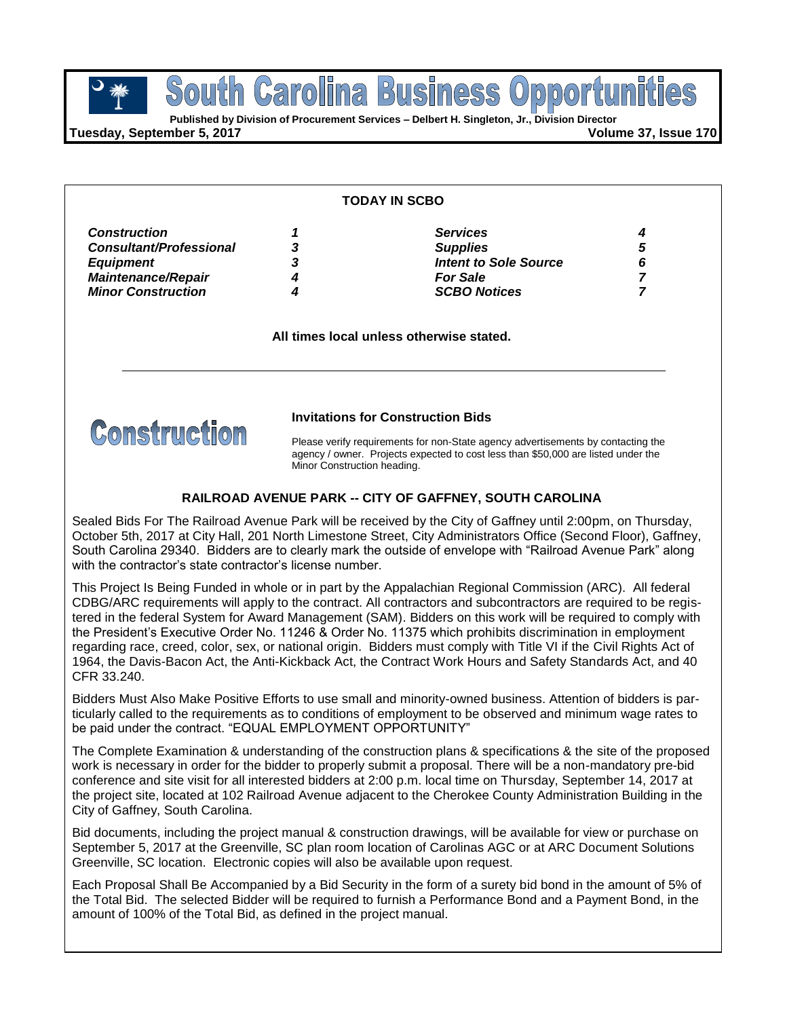**Business POUTH GETOIME BUSINESS OPPOPTULE** South Carolina

**Tuesday, September 5, 2017 Volume 37, Issue 170**

#### **TODAY IN SCBO**

| <b>Construction</b>            |   | <b>Services</b>              |  |
|--------------------------------|---|------------------------------|--|
| <b>Consultant/Professional</b> | 3 | <b>Supplies</b>              |  |
| <b>Equipment</b>               | 3 | <b>Intent to Sole Source</b> |  |
| <b>Maintenance/Repair</b>      |   | <b>For Sale</b>              |  |
| <b>Minor Construction</b>      |   | <b>SCBO Notices</b>          |  |
|                                |   |                              |  |

**All times local unless otherwise stated.**



#### **Invitations for Construction Bids**

Please verify requirements for non-State agency advertisements by contacting the agency / owner. Projects expected to cost less than \$50,000 are listed under the Minor Construction heading.

### **RAILROAD AVENUE PARK -- CITY OF GAFFNEY, SOUTH CAROLINA**

Sealed Bids For The Railroad Avenue Park will be received by the City of Gaffney until 2:00pm, on Thursday, October 5th, 2017 at City Hall, 201 North Limestone Street, City Administrators Office (Second Floor), Gaffney, South Carolina 29340. Bidders are to clearly mark the outside of envelope with "Railroad Avenue Park" along with the contractor's state contractor's license number.

This Project Is Being Funded in whole or in part by the Appalachian Regional Commission (ARC). All federal CDBG/ARC requirements will apply to the contract. All contractors and subcontractors are required to be registered in the federal System for Award Management (SAM). Bidders on this work will be required to comply with the President's Executive Order No. 11246 & Order No. 11375 which prohibits discrimination in employment regarding race, creed, color, sex, or national origin. Bidders must comply with Title VI if the Civil Rights Act of 1964, the Davis-Bacon Act, the Anti-Kickback Act, the Contract Work Hours and Safety Standards Act, and 40 CFR 33.240.

Bidders Must Also Make Positive Efforts to use small and minority-owned business. Attention of bidders is particularly called to the requirements as to conditions of employment to be observed and minimum wage rates to be paid under the contract. "EQUAL EMPLOYMENT OPPORTUNITY"

The Complete Examination & understanding of the construction plans & specifications & the site of the proposed work is necessary in order for the bidder to properly submit a proposal. There will be a non-mandatory pre-bid conference and site visit for all interested bidders at 2:00 p.m. local time on Thursday, September 14, 2017 at the project site, located at 102 Railroad Avenue adjacent to the Cherokee County Administration Building in the City of Gaffney, South Carolina.

Bid documents, including the project manual & construction drawings, will be available for view or purchase on September 5, 2017 at the Greenville, SC plan room location of Carolinas AGC or at ARC Document Solutions Greenville, SC location. Electronic copies will also be available upon request.

Each Proposal Shall Be Accompanied by a Bid Security in the form of a surety bid bond in the amount of 5% of the Total Bid. The selected Bidder will be required to furnish a Performance Bond and a Payment Bond, in the amount of 100% of the Total Bid, as defined in the project manual.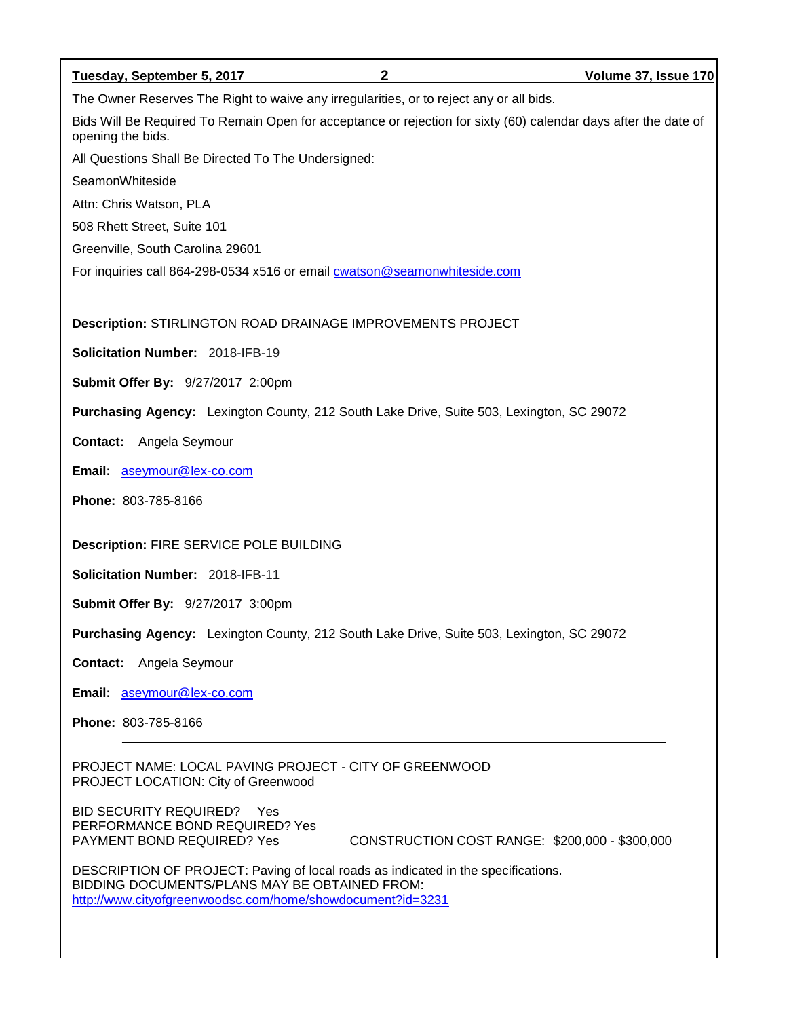| $\mathbf{2}$<br>Tuesday, September 5, 2017                                                                                           | Volume 37, Issue 170 |
|--------------------------------------------------------------------------------------------------------------------------------------|----------------------|
| The Owner Reserves The Right to waive any irregularities, or to reject any or all bids.                                              |                      |
| Bids Will Be Required To Remain Open for acceptance or rejection for sixty (60) calendar days after the date of<br>opening the bids. |                      |
| All Questions Shall Be Directed To The Undersigned:                                                                                  |                      |
| SeamonWhiteside                                                                                                                      |                      |
| Attn: Chris Watson, PLA                                                                                                              |                      |
| 508 Rhett Street, Suite 101                                                                                                          |                      |
| Greenville, South Carolina 29601                                                                                                     |                      |
| For inquiries call 864-298-0534 x516 or email cwatson@seamonwhiteside.com                                                            |                      |
|                                                                                                                                      |                      |
| Description: STIRLINGTON ROAD DRAINAGE IMPROVEMENTS PROJECT                                                                          |                      |
| Solicitation Number: 2018-IFB-19                                                                                                     |                      |
| <b>Submit Offer By: 9/27/2017 2:00pm</b>                                                                                             |                      |
| Purchasing Agency: Lexington County, 212 South Lake Drive, Suite 503, Lexington, SC 29072                                            |                      |
| Angela Seymour<br>Contact:                                                                                                           |                      |
| Email: aseymour@lex-co.com                                                                                                           |                      |
| Phone: 803-785-8166                                                                                                                  |                      |
| <b>Description: FIRE SERVICE POLE BUILDING</b>                                                                                       |                      |
| Solicitation Number: 2018-IFB-11                                                                                                     |                      |
| Submit Offer By: 9/27/2017 3:00pm                                                                                                    |                      |
| Purchasing Agency: Lexington County, 212 South Lake Drive, Suite 503, Lexington, SC 29072                                            |                      |
| Contact:<br>Angela Seymour                                                                                                           |                      |
| Email: aseymour@lex-co.com                                                                                                           |                      |
| Phone: 803-785-8166                                                                                                                  |                      |
| LOOM BAUBLO BBO IFOT OUTH OF OBFEMMOOD                                                                                               |                      |

PROJECT NAME: LOCAL PAVING PROJECT - CITY OF GREENWOOD PROJECT LOCATION: City of Greenwood

BID SECURITY REQUIRED? Yes PERFORMANCE BOND REQUIRED? Yes

CONSTRUCTION COST RANGE: \$200,000 - \$300,000

DESCRIPTION OF PROJECT: Paving of local roads as indicated in the specifications. BIDDING DOCUMENTS/PLANS MAY BE OBTAINED FROM: <http://www.cityofgreenwoodsc.com/home/showdocument?id=3231>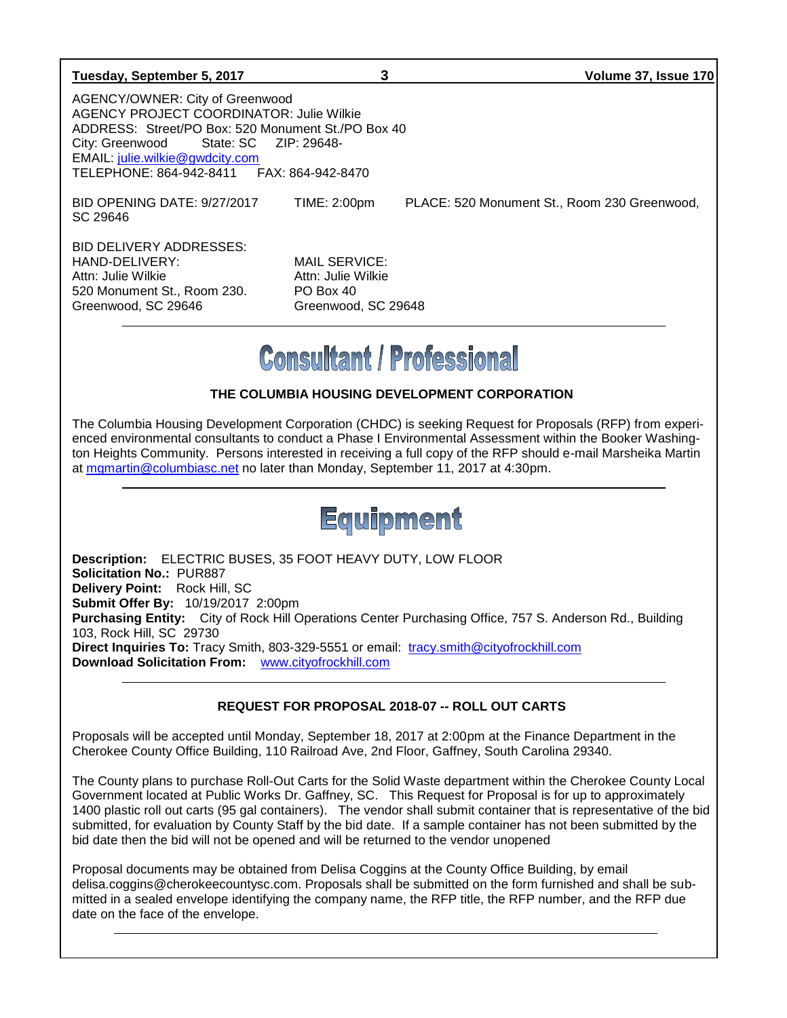#### **Tuesday, September 5, 2017 3 Volume 37, Issue 170**

AGENCY/OWNER: City of Greenwood AGENCY PROJECT COORDINATOR: Julie Wilkie ADDRESS: Street/PO Box: 520 Monument St./PO Box 40 City: Greenwood State: SC ZIP: 29648- EMAIL: [julie.wilkie@gwdcity.com](mailto:julie.wilkie@gwdcity.com) TELEPHONE: 864-942-8411 FAX: 864-942-8470

SC 29646

BID OPENING DATE: 9/27/2017 TIME: 2:00pm PLACE: 520 Monument St., Room 230 Greenwood,

BID DELIVERY ADDRESSES: HAND-DELIVERY: MAIL SERVICE: Attn: Julie Wilkie Attn: Julie Wilkie 520 Monument St., Room 230. PO Box 40 Greenwood, SC 29646 Greenwood, SC 29648

# **Consultant / Professional**

## **THE COLUMBIA HOUSING DEVELOPMENT CORPORATION**

The Columbia Housing Development Corporation (CHDC) is seeking Request for Proposals (RFP) from experienced environmental consultants to conduct a Phase I Environmental Assessment within the Booker Washington Heights Community. Persons interested in receiving a full copy of the RFP should e-mail Marsheika Martin at [mgmartin@columbiasc.net](mailto:mgmartin@columbiasc.net) no later than Monday, September 11, 2017 at 4:30pm.

# Equipment

**Description:** ELECTRIC BUSES, 35 FOOT HEAVY DUTY, LOW FLOOR **Solicitation No.:** PUR887 **Delivery Point:** Rock Hill, SC **Submit Offer By:** 10/19/2017 2:00pm **Purchasing Entity:** City of Rock Hill Operations Center Purchasing Office, 757 S. Anderson Rd., Building 103, Rock Hill, SC 29730 **Direct Inquiries To:** Tracy Smith, 803-329-5551 or email: [tracy.smith@cityofrockhill.com](mailto:tracy.smith@cityofrockhill.com) **Download Solicitation From:** [www.cityofrockhill.com](http://www.cityofrockhill.com/)

## **REQUEST FOR PROPOSAL 2018-07 -- ROLL OUT CARTS**

Proposals will be accepted until Monday, September 18, 2017 at 2:00pm at the Finance Department in the Cherokee County Office Building, 110 Railroad Ave, 2nd Floor, Gaffney, South Carolina 29340.

The County plans to purchase Roll-Out Carts for the Solid Waste department within the Cherokee County Local Government located at Public Works Dr. Gaffney, SC. This Request for Proposal is for up to approximately 1400 plastic roll out carts (95 gal containers). The vendor shall submit container that is representative of the bid submitted, for evaluation by County Staff by the bid date. If a sample container has not been submitted by the bid date then the bid will not be opened and will be returned to the vendor unopened

Proposal documents may be obtained from Delisa Coggins at the County Office Building, by email delisa.coggins@cherokeecountysc.com. Proposals shall be submitted on the form furnished and shall be submitted in a sealed envelope identifying the company name, the RFP title, the RFP number, and the RFP due date on the face of the envelope.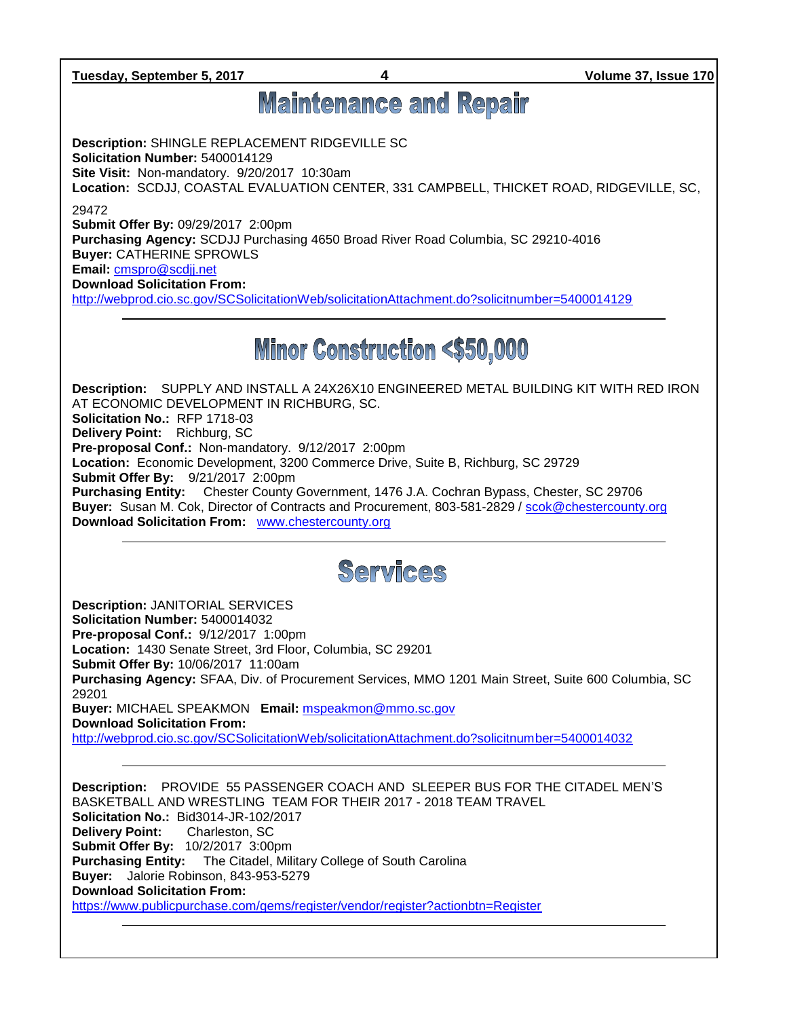**Tuesday, September 5, 2017 4 Volume 37, Issue 170**

## **Maintenance and Repair**

**Description:** SHINGLE REPLACEMENT RIDGEVILLE SC **Solicitation Number:** 5400014129 **Site Visit:** Non-mandatory. 9/20/2017 10:30am **Location:** SCDJJ, COASTAL EVALUATION CENTER, 331 CAMPBELL, THICKET ROAD, RIDGEVILLE, SC,

29472

**Submit Offer By:** 09/29/2017 2:00pm **Purchasing Agency:** SCDJJ Purchasing 4650 Broad River Road Columbia, SC 29210-4016 **Buyer:** CATHERINE SPROWLS **Email:** [cmspro@scdjj.net](mailto:cmspro@scdjj.net)

**Download Solicitation From:** 

<http://webprod.cio.sc.gov/SCSolicitationWeb/solicitationAttachment.do?solicitnumber=5400014129>

## **Minor Construction <\$50,000**

**Description:** SUPPLY AND INSTALL A 24X26X10 ENGINEERED METAL BUILDING KIT WITH RED IRON AT ECONOMIC DEVELOPMENT IN RICHBURG, SC. **Solicitation No.:** RFP 1718-03 **Delivery Point:** Richburg, SC **Pre-proposal Conf.:** Non-mandatory. 9/12/2017 2:00pm **Location:** Economic Development, 3200 Commerce Drive, Suite B, Richburg, SC 29729 **Submit Offer By:** 9/21/2017 2:00pm **Purchasing Entity:** Chester County Government, 1476 J.A. Cochran Bypass, Chester, SC 29706 **Buyer:** Susan M. Cok, Director of Contracts and Procurement, 803-581-2829 / [scok@chestercounty.org](mailto:scok@chestercounty.org)  **Download Solicitation From:** [www.chestercounty.org](http://www.chestercounty.org/)

## Services

**Description:** JANITORIAL SERVICES **Solicitation Number:** 5400014032 **Pre-proposal Conf.:** 9/12/2017 1:00pm **Location:** 1430 Senate Street, 3rd Floor, Columbia, SC 29201 **Submit Offer By:** 10/06/2017 11:00am **Purchasing Agency:** SFAA, Div. of Procurement Services, MMO 1201 Main Street, Suite 600 Columbia, SC 29201 **Buyer:** MICHAEL SPEAKMON **Email:** [mspeakmon@mmo.sc.gov](mailto:mspeakmon@mmo.sc.gov) **Download Solicitation From:**  <http://webprod.cio.sc.gov/SCSolicitationWeb/solicitationAttachment.do?solicitnumber=5400014032>

**Description:** PROVIDE 55 PASSENGER COACH AND SLEEPER BUS FOR THE CITADEL MEN'S BASKETBALL AND WRESTLING TEAM FOR THEIR 2017 - 2018 TEAM TRAVEL **Solicitation No.:** Bid3014-JR-102/2017 **Delivery Point:** Charleston, SC **Submit Offer By:** 10/2/2017 3:00pm **Purchasing Entity:** The Citadel, Military College of South Carolina **Buyer:** Jalorie Robinson, 843-953-5279 **Download Solicitation From:** <https://www.publicpurchase.com/gems/register/vendor/register?actionbtn=Register>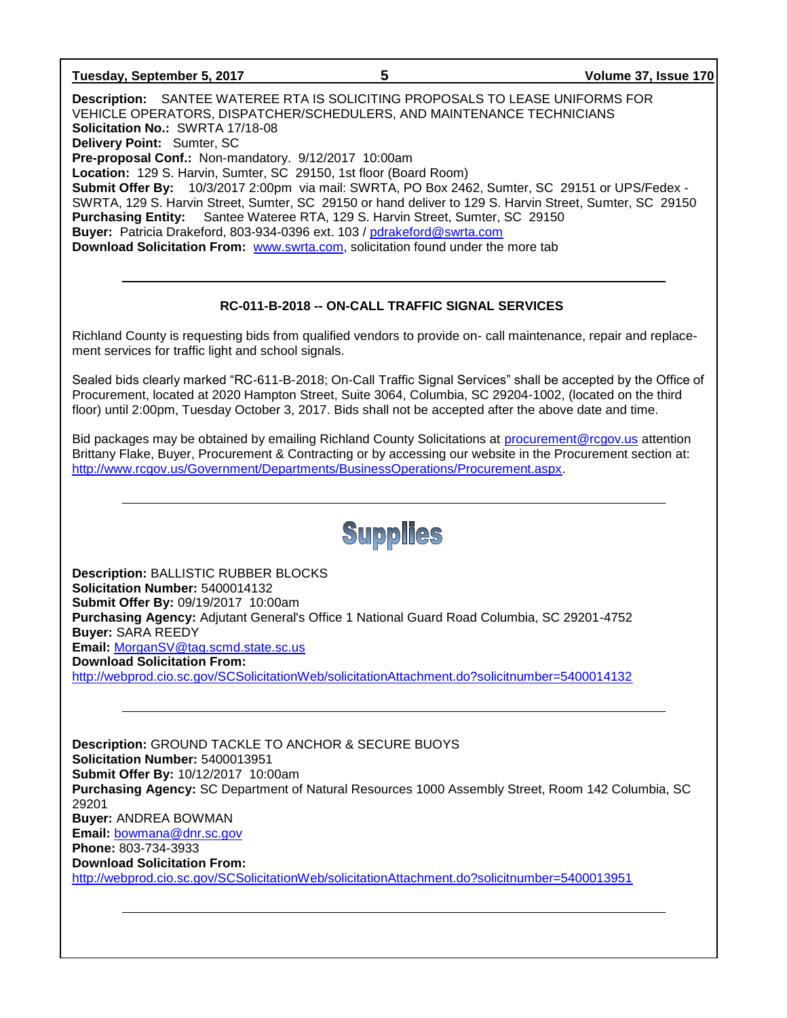| Tuesday, September 5, 2017 |
|----------------------------|
|----------------------------|

**Description:** SANTEE WATEREE RTA IS SOLICITING PROPOSALS TO LEASE UNIFORMS FOR VEHICLE OPERATORS, DISPATCHER/SCHEDULERS, AND MAINTENANCE TECHNICIANS **Solicitation No.:** SWRTA 17/18-08 **Delivery Point:** Sumter, SC **Pre-proposal Conf.:** Non-mandatory. 9/12/2017 10:00am **Location:** 129 S. Harvin, Sumter, SC 29150, 1st floor (Board Room) **Submit Offer By:** 10/3/2017 2:00pm via mail: SWRTA, PO Box 2462, Sumter, SC 29151 or UPS/Fedex - SWRTA, 129 S. Harvin Street, Sumter, SC 29150 or hand deliver to 129 S. Harvin Street, Sumter, SC 29150 **Purchasing Entity:** Santee Wateree RTA, 129 S. Harvin Street, Sumter, SC 29150 **Buyer:** Patricia Drakeford, 803-934-0396 ext. 103 / [pdrakeford@swrta.com](mailto:pdrakeford@swrta.com)  **Download Solicitation From:** [www.swrta.com,](http://www.swrta.com/) solicitation found under the more tab

### **RC-011-B-2018 -- ON-CALL TRAFFIC SIGNAL SERVICES**

Richland County is requesting bids from qualified vendors to provide on- call maintenance, repair and replacement services for traffic light and school signals.

Sealed bids clearly marked "RC-611-B-2018; On-Call Traffic Signal Services" shall be accepted by the Office of Procurement, located at 2020 Hampton Street, Suite 3064, Columbia, SC 29204-1002, (located on the third floor) until 2:00pm, Tuesday October 3, 2017. Bids shall not be accepted after the above date and time.

Bid packages may be obtained by emailing Richland County Solicitations at [procurement@rcgov.us](mailto:procurement@rcgov.us) attention Brittany Flake, Buyer, Procurement & Contracting or by accessing our website in the Procurement section at: [http://www.rcgov.us/Government/Departments/BusinessOperations/Procurement.aspx.](http://www.rcgov.us/Government/Departments/BusinessOperations/Procurement.aspx)



**Description:** BALLISTIC RUBBER BLOCKS **Solicitation Number:** 5400014132 **Submit Offer By:** 09/19/2017 10:00am **Purchasing Agency:** Adjutant General's Office 1 National Guard Road Columbia, SC 29201-4752 **Buyer:** SARA REEDY **Email:** [MorganSV@tag.scmd.state.sc.us](mailto:MorganSV@tag.scmd.state.sc.us) **Download Solicitation From:**  <http://webprod.cio.sc.gov/SCSolicitationWeb/solicitationAttachment.do?solicitnumber=5400014132>

**Description:** GROUND TACKLE TO ANCHOR & SECURE BUOYS **Solicitation Number:** 5400013951 **Submit Offer By:** 10/12/2017 10:00am **Purchasing Agency:** SC Department of Natural Resources 1000 Assembly Street, Room 142 Columbia, SC 29201 **Buyer:** ANDREA BOWMAN **Email:** [bowmana@dnr.sc.gov](mailto:bowmana@dnr.sc.gov) **Phone:** 803-734-3933 **Download Solicitation From:**  <http://webprod.cio.sc.gov/SCSolicitationWeb/solicitationAttachment.do?solicitnumber=5400013951>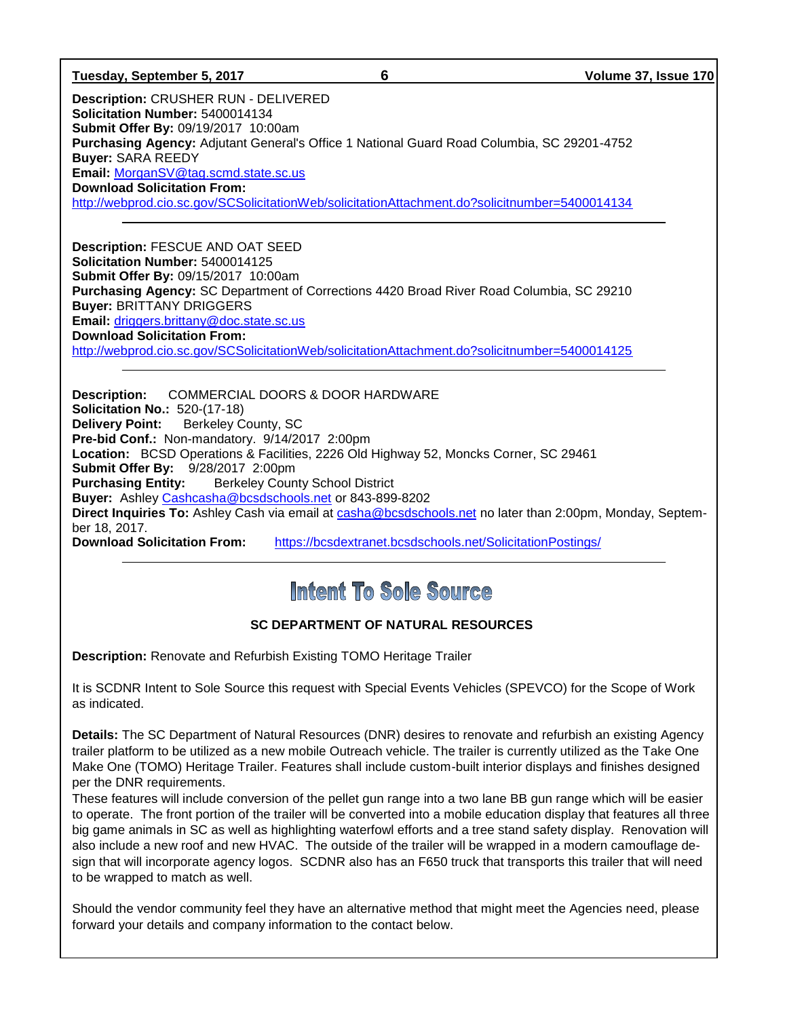#### **Tuesday, September 5, 2017 6 Volume 37, Issue 170**

**Description:** CRUSHER RUN - DELIVERED **Solicitation Number:** 5400014134 **Submit Offer By:** 09/19/2017 10:00am **Purchasing Agency:** Adjutant General's Office 1 National Guard Road Columbia, SC 29201-4752 **Buyer:** SARA REEDY **Email:** [MorganSV@tag.scmd.state.sc.us](mailto:MorganSV@tag.scmd.state.sc.us) **Download Solicitation From:**  <http://webprod.cio.sc.gov/SCSolicitationWeb/solicitationAttachment.do?solicitnumber=5400014134>

**Description:** FESCUE AND OAT SEED **Solicitation Number:** 5400014125 **Submit Offer By:** 09/15/2017 10:00am **Purchasing Agency:** SC Department of Corrections 4420 Broad River Road Columbia, SC 29210 **Buyer:** BRITTANY DRIGGERS **Email:** [driggers.brittany@doc.state.sc.us](mailto:driggers.brittany@doc.state.sc.us) **Download Solicitation From:**  <http://webprod.cio.sc.gov/SCSolicitationWeb/solicitationAttachment.do?solicitnumber=5400014125>

**Description:** COMMERCIAL DOORS & DOOR HARDWARE **Solicitation No.:** 520-(17-18) **Delivery Point:** Berkeley County, SC **Pre-bid Conf.:** Non-mandatory. 9/14/2017 2:00pm **Location:** BCSD Operations & Facilities, 2226 Old Highway 52, Moncks Corner, SC 29461 **Submit Offer By:** 9/28/2017 2:00pm **Purchasing Entity:** Berkeley County School District **Buyer:** Ashley [Cashcasha@bcsdschools.net](mailto:Cashcasha@bcsdschools.net) or 843-899-8202 **Direct Inquiries To:** Ashley Cash via email at [casha@bcsdschools.net](mailto:casha@bcsdschools.net) no later than 2:00pm, Monday, September 18, 2017. **Download Solicitation From:** <https://bcsdextranet.bcsdschools.net/SolicitationPostings/>

## Intent To Sole Source

## **SC DEPARTMENT OF NATURAL RESOURCES**

**Description:** Renovate and Refurbish Existing TOMO Heritage Trailer

It is SCDNR Intent to Sole Source this request with Special Events Vehicles (SPEVCO) for the Scope of Work as indicated.

**Details:** The SC Department of Natural Resources (DNR) desires to renovate and refurbish an existing Agency trailer platform to be utilized as a new mobile Outreach vehicle. The trailer is currently utilized as the Take One Make One (TOMO) Heritage Trailer. Features shall include custom-built interior displays and finishes designed per the DNR requirements.

These features will include conversion of the pellet gun range into a two lane BB gun range which will be easier to operate. The front portion of the trailer will be converted into a mobile education display that features all three big game animals in SC as well as highlighting waterfowl efforts and a tree stand safety display. Renovation will also include a new roof and new HVAC. The outside of the trailer will be wrapped in a modern camouflage design that will incorporate agency logos. SCDNR also has an F650 truck that transports this trailer that will need to be wrapped to match as well.

Should the vendor community feel they have an alternative method that might meet the Agencies need, please forward your details and company information to the contact below.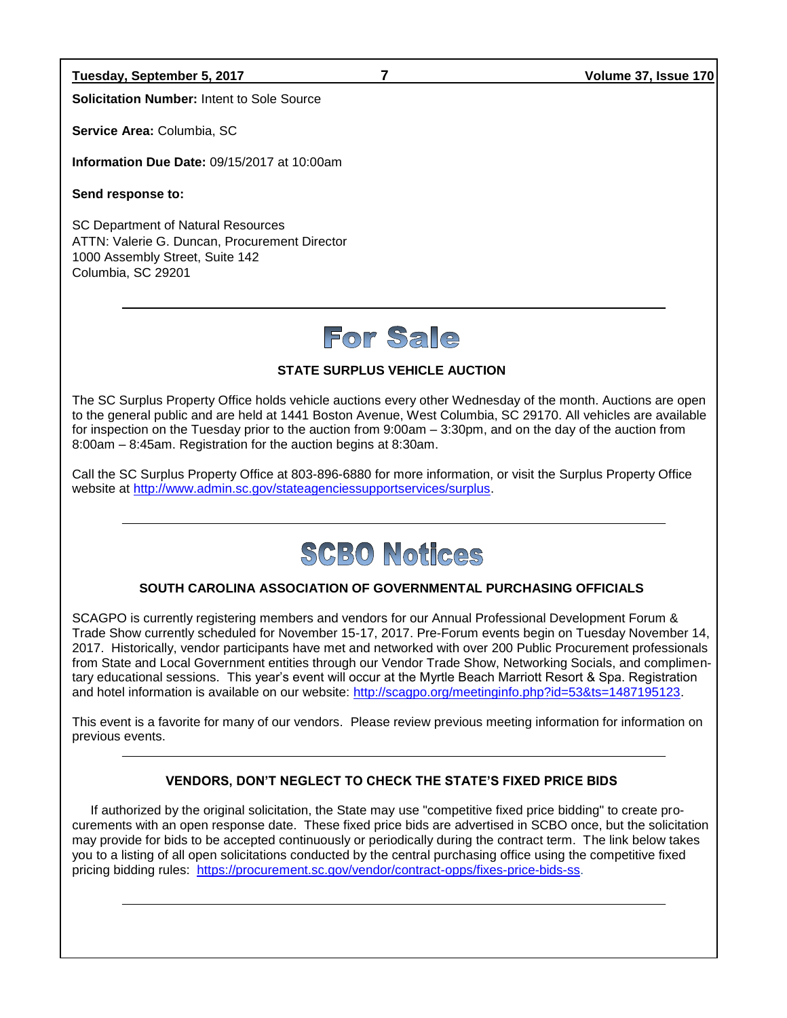**Tuesday, September 5, 2017 7 Volume 37, Issue 170**

**Solicitation Number:** Intent to Sole Source

**Service Area:** Columbia, SC

**Information Due Date:** 09/15/2017 at 10:00am

**Send response to:**

SC Department of Natural Resources ATTN: Valerie G. Duncan, Procurement Director 1000 Assembly Street, Suite 142 Columbia, SC 29201

# For Sale

## **STATE SURPLUS VEHICLE AUCTION**

The SC Surplus Property Office holds vehicle auctions every other Wednesday of the month. Auctions are open to the general public and are held at 1441 Boston Avenue, West Columbia, SC 29170. All vehicles are available for inspection on the Tuesday prior to the auction from 9:00am – 3:30pm, and on the day of the auction from 8:00am – 8:45am. Registration for the auction begins at 8:30am.

Call the SC Surplus Property Office at 803-896-6880 for more information, or visit the Surplus Property Office website at [http://www.admin.sc.gov/stateagenciessupportservices/surplus.](http://www.admin.sc.gov/stateagenciessupportservices/surplus)



## **SOUTH CAROLINA ASSOCIATION OF GOVERNMENTAL PURCHASING OFFICIALS**

SCAGPO is currently registering members and vendors for our Annual Professional Development Forum & Trade Show currently scheduled for November 15-17, 2017. Pre-Forum events begin on Tuesday November 14, 2017. Historically, vendor participants have met and networked with over 200 Public Procurement professionals from State and Local Government entities through our Vendor Trade Show, Networking Socials, and complimentary educational sessions. This year's event will occur at the Myrtle Beach Marriott Resort & Spa. Registration and hotel information is available on our website: [http://scagpo.org/meetinginfo.php?id=53&ts=1487195123.](http://scagpo.org/meetinginfo.php?id=53&ts=1487195123)

This event is a favorite for many of our vendors. Please review previous meeting information for information on previous events.

## **VENDORS, DON'T NEGLECT TO CHECK THE STATE'S FIXED PRICE BIDS**

If authorized by the original solicitation, the State may use "competitive fixed price bidding" to create procurements with an open response date. These fixed price bids are advertised in SCBO once, but the solicitation may provide for bids to be accepted continuously or periodically during the contract term. The link below takes you to a listing of all open solicitations conducted by the central purchasing office using the competitive fixed pricing bidding rules: [https://procurement.sc.gov/vendor/contract-opps/fixes-price-bids-ss.](https://procurement.sc.gov/vendor/contract-opps/fixes-price-bids-ss)